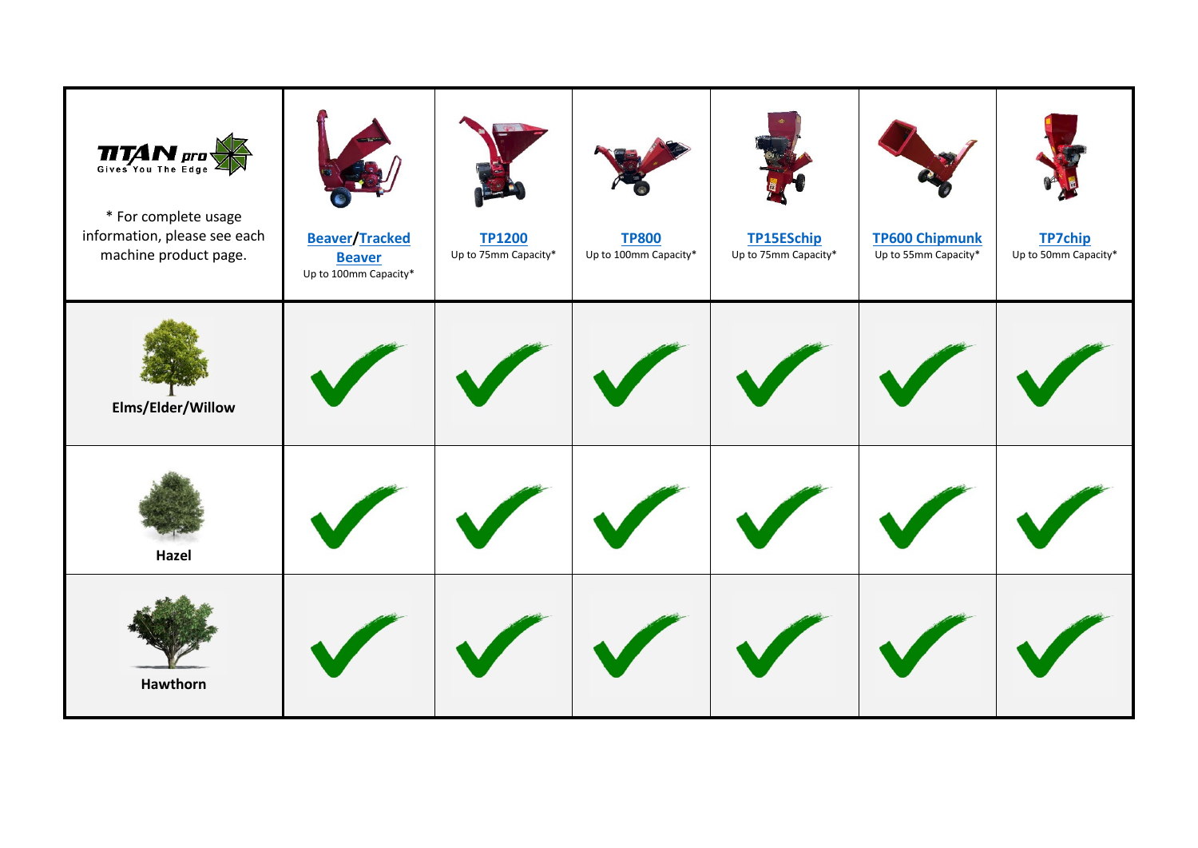| $\prod_{\text{Gives You The Edge}}$<br>* For complete usage<br>information, please see each<br>machine product page. | <b>Beaver/Tracked</b><br><b>Beaver</b><br>Up to 100mm Capacity* | <b>TP1200</b><br>Up to 75mm Capacity* | <b>TP800</b><br>Up to 100mm Capacity* | <b>TP15ESchip</b><br>Up to 75mm Capacity* | <b>TP600 Chipmunk</b><br>Up to 55mm Capacity* | <b>TP7chip</b><br>Up to 50mm Capacity* |
|----------------------------------------------------------------------------------------------------------------------|-----------------------------------------------------------------|---------------------------------------|---------------------------------------|-------------------------------------------|-----------------------------------------------|----------------------------------------|
| Elms/Elder/Willow                                                                                                    |                                                                 |                                       |                                       |                                           |                                               |                                        |
| Hazel                                                                                                                |                                                                 |                                       |                                       |                                           |                                               |                                        |
| <b>Hawthorn</b>                                                                                                      |                                                                 |                                       |                                       |                                           |                                               |                                        |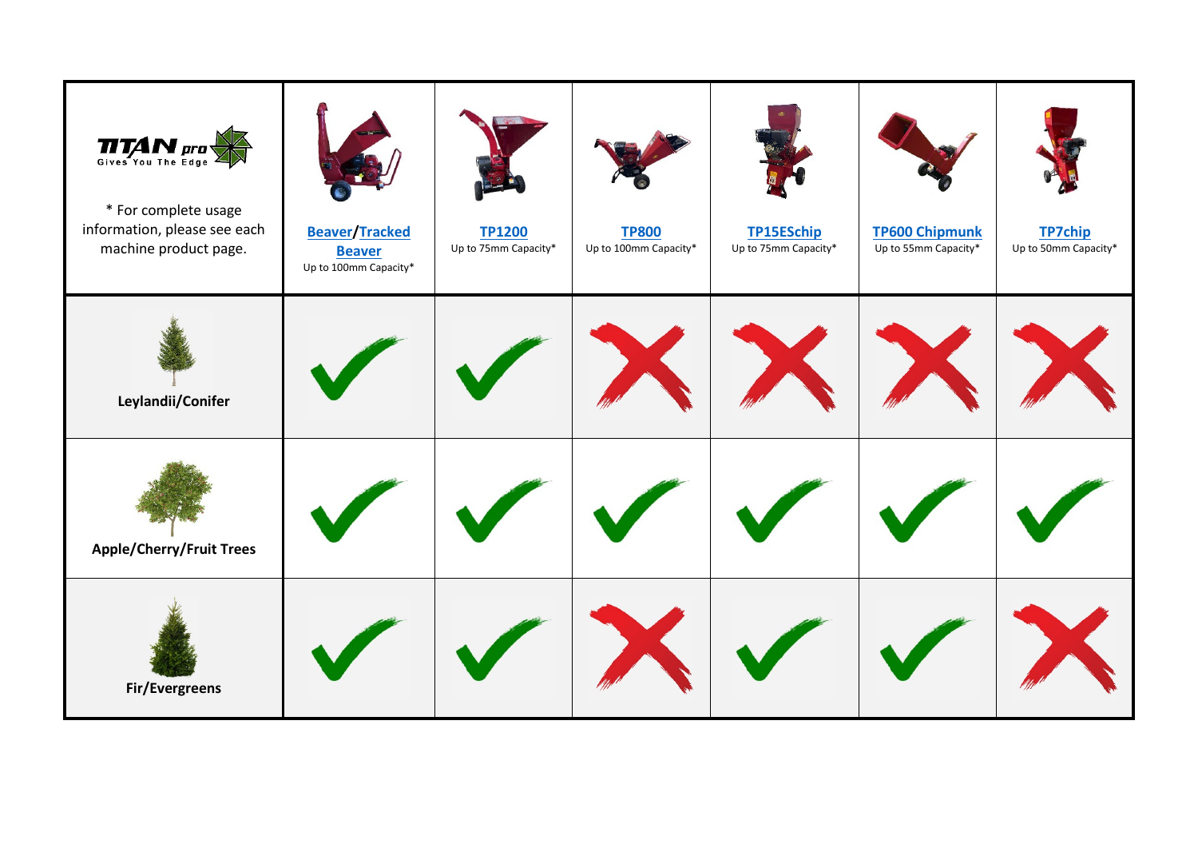| $\prod_{\text{Give a You The Edge}}$<br>* For complete usage<br>information, please see each<br>machine product page. | <b>Beaver/Tracked</b><br><b>Beaver</b><br>Up to 100mm Capacity* | <b>TP1200</b><br>Up to 75mm Capacity* | <b>TP800</b><br>Up to 100mm Capacity* | <b>TP15ESchip</b><br>Up to 75mm Capacity* | <b>TP600 Chipmunk</b><br>Up to 55mm Capacity* | <b>TP7chip</b><br>Up to 50mm Capacity* |
|-----------------------------------------------------------------------------------------------------------------------|-----------------------------------------------------------------|---------------------------------------|---------------------------------------|-------------------------------------------|-----------------------------------------------|----------------------------------------|
| Leylandii/Conifer                                                                                                     |                                                                 |                                       |                                       |                                           |                                               |                                        |
| <b>Apple/Cherry/Fruit Trees</b>                                                                                       |                                                                 |                                       |                                       |                                           |                                               |                                        |
| Fir/Evergreens                                                                                                        |                                                                 |                                       |                                       |                                           |                                               |                                        |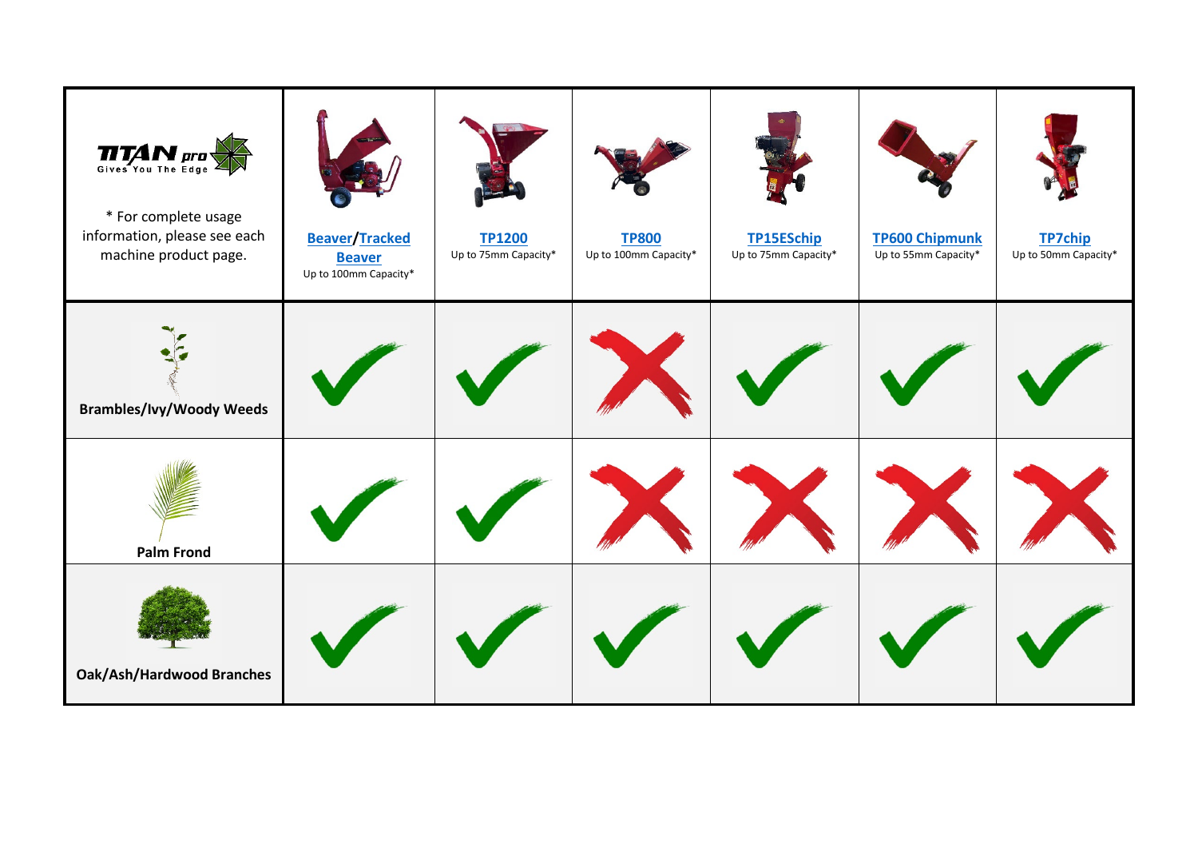| $\prod_{\text{Gives You The Edge}}$<br>* For complete usage<br>information, please see each<br>machine product page. | <b>Beaver/Tracked</b><br><b>Beaver</b><br>Up to 100mm Capacity* | <b>TP1200</b><br>Up to 75mm Capacity* | <b>TP800</b><br>Up to 100mm Capacity* | <b>TP15ESchip</b><br>Up to 75mm Capacity* | <b>TP600 Chipmunk</b><br>Up to 55mm Capacity* | <b>TP7chip</b><br>Up to 50mm Capacity* |
|----------------------------------------------------------------------------------------------------------------------|-----------------------------------------------------------------|---------------------------------------|---------------------------------------|-------------------------------------------|-----------------------------------------------|----------------------------------------|
| <b>Brambles/Ivy/Woody Weeds</b>                                                                                      |                                                                 |                                       |                                       |                                           |                                               |                                        |
| <b>Palm Frond</b>                                                                                                    |                                                                 |                                       |                                       |                                           |                                               |                                        |
| <b>Oak/Ash/Hardwood Branches</b>                                                                                     |                                                                 |                                       |                                       |                                           |                                               |                                        |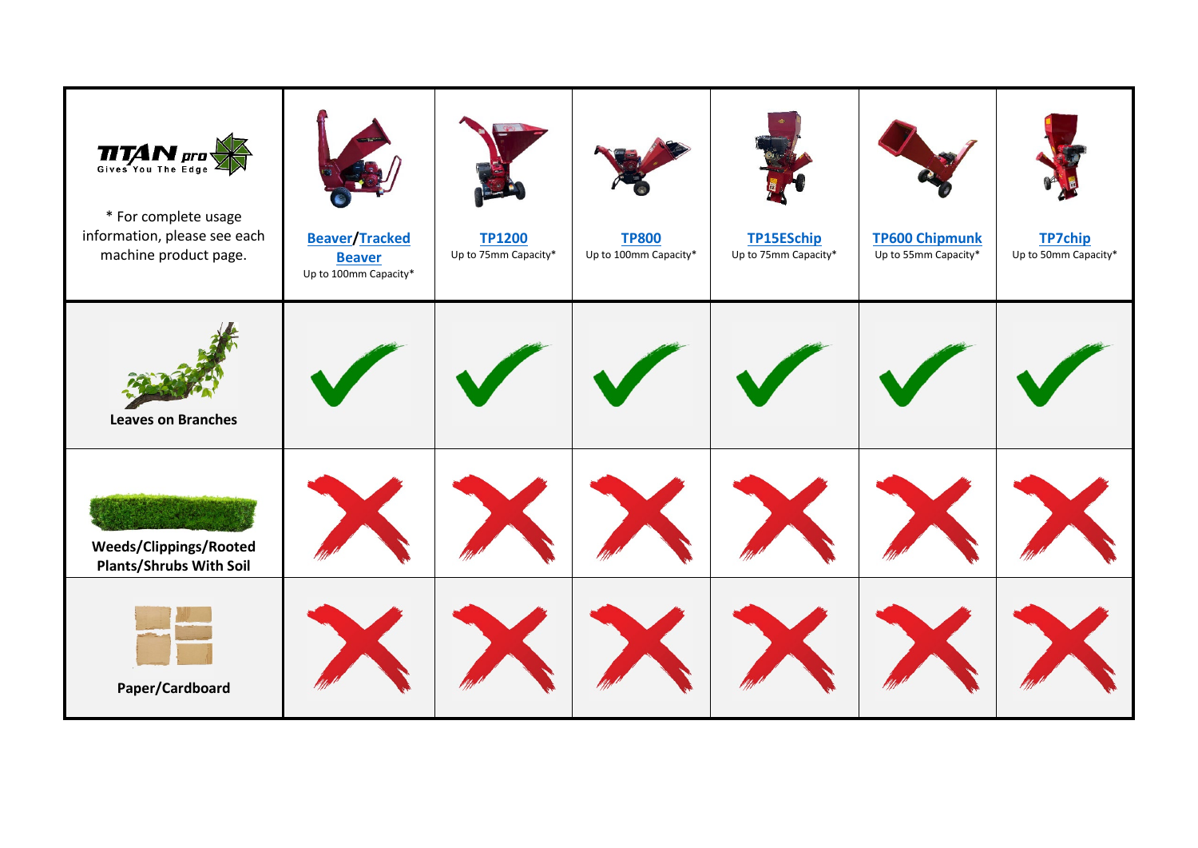| $\prod_{\text{Gives You The Edge}}$<br>* For complete usage<br>information, please see each<br>machine product page. | <b>Beaver/Tracked</b><br><b>Beaver</b><br>Up to 100mm Capacity* | <b>TP1200</b><br>Up to 75mm Capacity* | <b>TP800</b><br>Up to 100mm Capacity* | <b>TP15ESchip</b><br>Up to 75mm Capacity* | <b>TP600 Chipmunk</b><br>Up to 55mm Capacity* | <b>TP7chip</b><br>Up to 50mm Capacity* |
|----------------------------------------------------------------------------------------------------------------------|-----------------------------------------------------------------|---------------------------------------|---------------------------------------|-------------------------------------------|-----------------------------------------------|----------------------------------------|
| <b>Leaves on Branches</b>                                                                                            |                                                                 |                                       |                                       |                                           |                                               |                                        |
| Weeds/Clippings/Rooted<br><b>Plants/Shrubs With Soil</b>                                                             |                                                                 |                                       |                                       |                                           |                                               |                                        |
| Paper/Cardboard                                                                                                      |                                                                 |                                       |                                       |                                           |                                               |                                        |